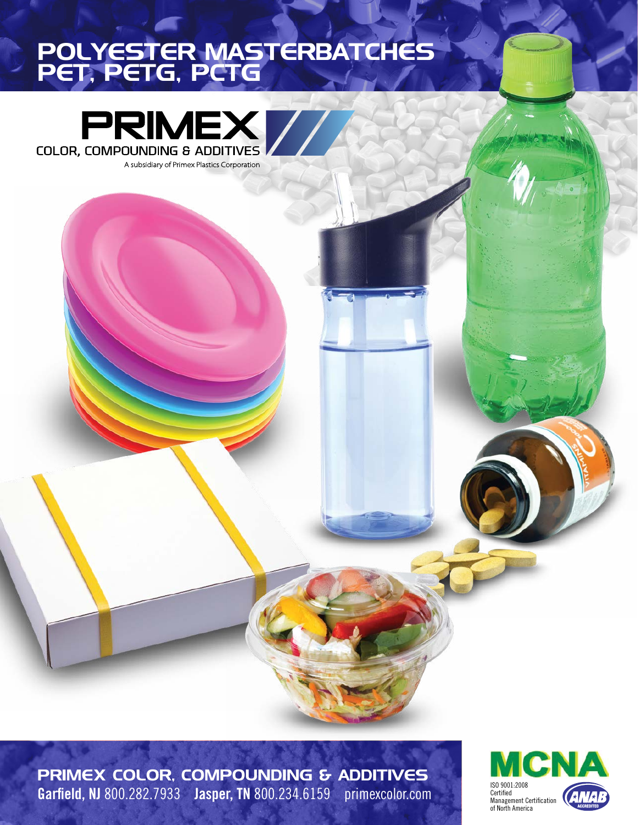# POLYESTER MASTERBATCHES PET, PETG, PCTG



PRIMEX COLOR, COMPOUNDING & ADDITIVES Garfield, NJ 800.282.7933 Jasper, TN 800.234.6159 primexcolor.com